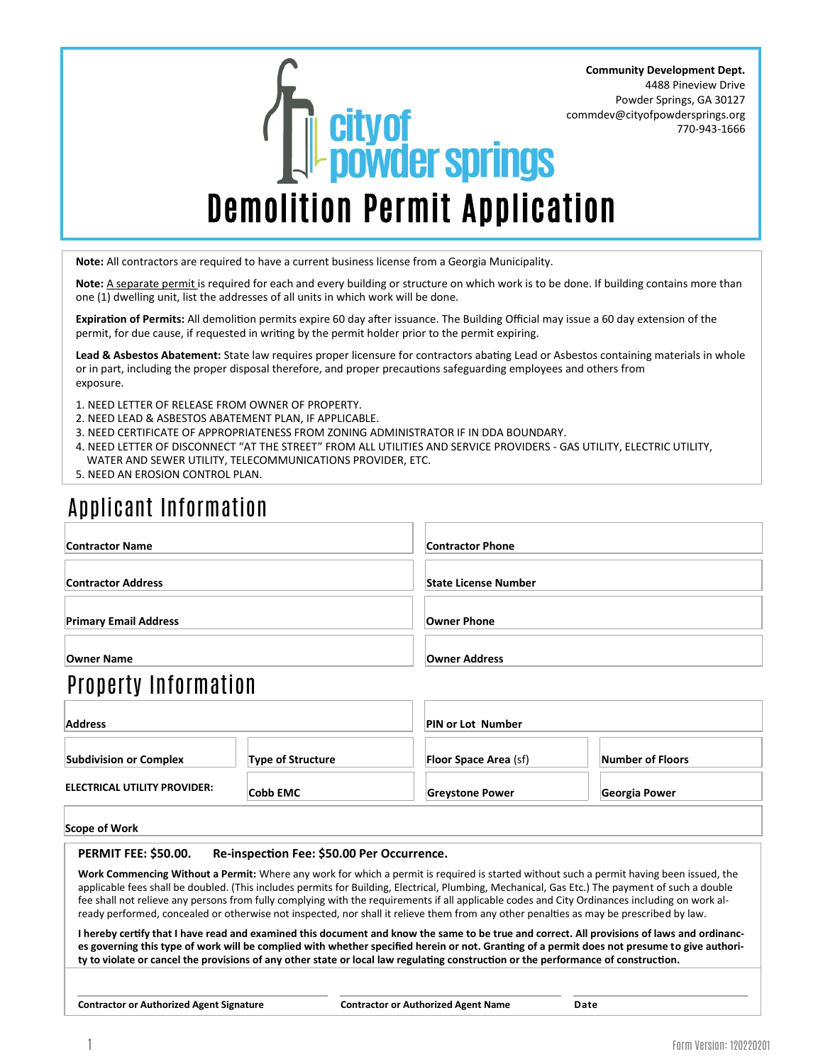

**Note:** All contractors are required to have a current business license from a Georgia Municipality.

**Note:** A separate permit is required for each and every building or structure on which work is to be done. If building contains more than one (1) dwelling unit, list the addresses of all units in which work will be done.

**Expiration of Permits:** All demolition permits expire 60 day after issuance. The Building Official may issue a 60 day extension of the permit, for due cause, if requested in writing by the permit holder prior to the permit expiring.

Lead & Asbestos Abatement: State law requires proper licensure for contractors abating Lead or Asbestos containing materials in whole or in part, including the proper disposal therefore, and proper precautions safeguarding employees and others from exposure.

- 1. NEED LETTER OF RELEASE FROM OWNER OF PROPERTY.
- 2. NEED LEAD & ASBESTOS ABATEMENT PLAN, IF APPLICABLE.
- 3. NEED CERTIFICATE OF APPROPRIATENESS FROM ZONING ADMINISTRATOR IF IN DDA BOUNDARY.
- 4. NEED LETTER OF DISCONNECT "AT THE STREET" FROM ALL UTILITIES AND SERVICE PROVIDERS GAS UTILITY, ELECTRIC UTILITY, WATER AND SEWER UTILITY, TELECOMMUNICATIONS PROVIDER, ETC.
- 5. NEED AN EROSION CONTROL PLAN.

## Applicant Information

| <b>Contractor Name</b><br><b>Contractor Address</b><br><b>Primary Email Address</b><br><b>Owner Name</b> |                                            | <b>Contractor Phone</b>                                                                                                                                                                                                                                                                                                                                                                                                                                                                                                                                                                 |                                                                                                                                                                                                                                                                                             |  |  |  |                             |
|----------------------------------------------------------------------------------------------------------|--------------------------------------------|-----------------------------------------------------------------------------------------------------------------------------------------------------------------------------------------------------------------------------------------------------------------------------------------------------------------------------------------------------------------------------------------------------------------------------------------------------------------------------------------------------------------------------------------------------------------------------------------|---------------------------------------------------------------------------------------------------------------------------------------------------------------------------------------------------------------------------------------------------------------------------------------------|--|--|--|-----------------------------|
|                                                                                                          |                                            | <b>State License Number</b>                                                                                                                                                                                                                                                                                                                                                                                                                                                                                                                                                             |                                                                                                                                                                                                                                                                                             |  |  |  |                             |
|                                                                                                          |                                            | <b>Owner Phone</b><br><b>Owner Address</b>                                                                                                                                                                                                                                                                                                                                                                                                                                                                                                                                              |                                                                                                                                                                                                                                                                                             |  |  |  |                             |
|                                                                                                          |                                            |                                                                                                                                                                                                                                                                                                                                                                                                                                                                                                                                                                                         |                                                                                                                                                                                                                                                                                             |  |  |  | <b>Property Information</b> |
| <b>Address</b>                                                                                           |                                            | <b>PIN or Lot Number</b>                                                                                                                                                                                                                                                                                                                                                                                                                                                                                                                                                                |                                                                                                                                                                                                                                                                                             |  |  |  |                             |
| <b>Subdivision or Complex</b>                                                                            | <b>Type of Structure</b>                   | <b>Floor Space Area (sf)</b>                                                                                                                                                                                                                                                                                                                                                                                                                                                                                                                                                            | Number of Floors                                                                                                                                                                                                                                                                            |  |  |  |                             |
| <b>ELECTRICAL UTILITY PROVIDER:</b>                                                                      | <b>Cobb EMC</b>                            | <b>Greystone Power</b>                                                                                                                                                                                                                                                                                                                                                                                                                                                                                                                                                                  | Georgia Power                                                                                                                                                                                                                                                                               |  |  |  |                             |
| Scope of Work                                                                                            |                                            |                                                                                                                                                                                                                                                                                                                                                                                                                                                                                                                                                                                         |                                                                                                                                                                                                                                                                                             |  |  |  |                             |
| PERMIT FEE: \$50.00.                                                                                     | Re-inspection Fee: \$50.00 Per Occurrence. |                                                                                                                                                                                                                                                                                                                                                                                                                                                                                                                                                                                         |                                                                                                                                                                                                                                                                                             |  |  |  |                             |
|                                                                                                          |                                            | Work Commencing Without a Permit: Where any work for which a permit is required is started without such a permit having been issued, the<br>applicable fees shall be doubled. (This includes permits for Building, Electrical, Plumbing, Mechanical, Gas Etc.) The payment of such a double<br>fee shall not relieve any persons from fully complying with the requirements if all applicable codes and City Ordinances including on work al-<br>ready performed, concealed or otherwise not inspected, nor shall it relieve them from any other penalties as may be prescribed by law. |                                                                                                                                                                                                                                                                                             |  |  |  |                             |
|                                                                                                          |                                            | ty to violate or cancel the provisions of any other state or local law regulating construction or the performance of construction.                                                                                                                                                                                                                                                                                                                                                                                                                                                      | I hereby certify that I have read and examined this document and know the same to be true and correct. All provisions of laws and ordinanc-<br>es governing this type of work will be complied with whether specified herein or not. Granting of a permit does not presume to give authori- |  |  |  |                             |
| <b>Contractor or Authorized Agent Signature</b>                                                          |                                            | <b>Contractor or Authorized Agent Name</b>                                                                                                                                                                                                                                                                                                                                                                                                                                                                                                                                              | Date                                                                                                                                                                                                                                                                                        |  |  |  |                             |

770-943-1666